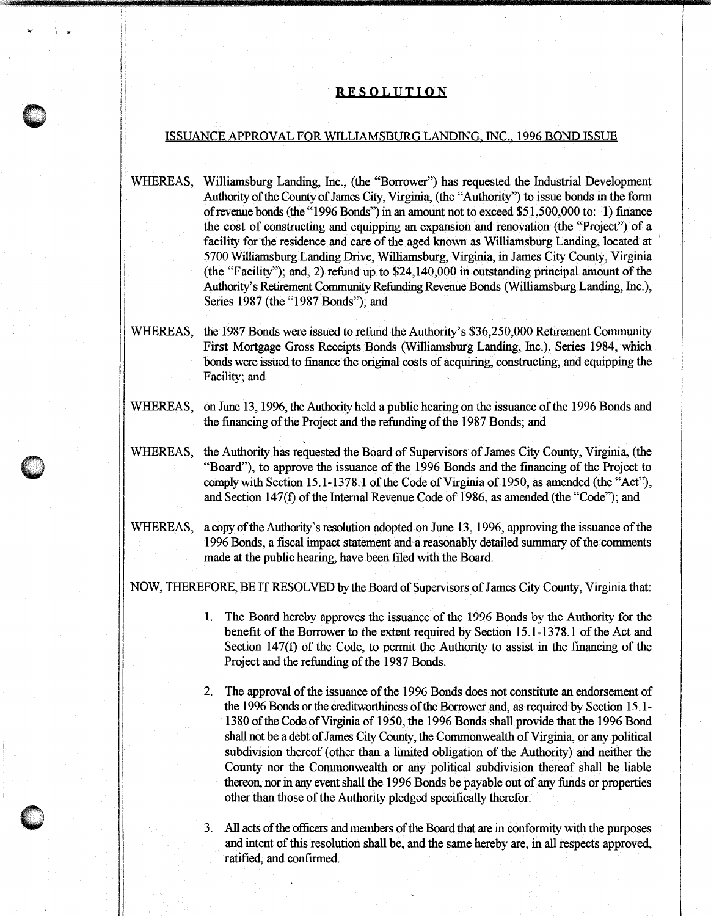## **RE SOL UT ION**

 $\mathbf{r} = \mathbf{r}$ 

\ . '\ i I

## ISSUANCE APPROVAL FOR WILLIAMSBURG LANDING. INC .. 1996 BOND ISSUE

WHEREAS, Williamsburg Landing, Inc., (the "Borrower") has requested the Industrial Development Authority of the County of James City, Virginia, (the "Authority") to issue bonds in the form ofrevenue bonds (the "1996 Bonds") in an amount not to exceed \$51,500,000 to: 1) finance the cost of constructing and equipping an expansion and renovation (the "Project") of a facility for the residence and care of the aged known as Williamsburg Landing, located at 5700 Williamsburg Landing Drive, Williamsburg, Virginia, in James City County, Virginia (the "Facility"); and, 2) refund up to \$24,140,000 in outstanding principal amount of the Authority's Retirement Community Refunding Revenue Bonds (Williamsburg Landing, Inc.), Series 1987 (the "1987 Bonds"); and

- WHEREAS, the 1987 Bonds were issued to refund the Authority's \$36,250,000 Retirement Community First Mortgage Gross Receipts Bonds (Williamsburg Landing, Inc.), Series 1984, which bonds were issued to fmance the original costs of acquiring, constructing, and equipping the Facility; and
- WHEREAS, on June 13, 1996, the Authority held a public hearing on the issuance of the 1996 Bonds and the fmancing of the Project and the refunding of the 1987 Bonds; and
- WHEREAS, the Authority has requested the Board of Supervisors of James City County, Virginia, (the "Board"), to approve the issuance of the 1996 Bonds and the financing of the Project to comply with Section 15.1-1378.1 of the Code of Virginia of 1950, as amended (the "Act"), and Section 147(f) of the Internal Revenue Code of 1986, as amended (the "Code"); and
- WHEREAS, a copy of the Authority's resolution adopted on June 13, 1996, approving the issuance of the 1996 Bonds, a fiscal impact statement and a reasonably detailed summary of the comments made at the public hearing, have been filed with the Board.

NOW, THEREFORE, BE IT RESOLVED by the Board of Supervisors of James City County, Virginia that:

- 1. The Board hereby approves the issuance of the 1996 Bonds by the Authority for the benefit of the Borrower to the extent required by Section 15.1-1378.l of the Act and Section 147(f) of the Code, to permit the Authority to assist in the fmancing of the Project and the refunding of the 1987 Bonds.
- 2. The approval of the issuance of the 1996 Bonds does not constitute an endorsement of the 1996 Bonds or the creditworthiness of the Borrower and, as required by Section 15 .1- 1380 of the Code ofVirginia of 1950, the 1996 Bonds shall provide that the 1996 Bond shall not be a debt of James City County, the Commonwealth of Virginia, or any political subdivision thereof (other than a limited obligation of the Authority) and neither the County nor the Commonwealth or any political subdivision thereof shall be liable thereon, nor in any event shall the 1996 Bonds be payable out of any funds or properties other than those of the Authority pledged specifically therefor.
- 3. All acts of the officers and members of the Board that are in conformity with the purposes and intent of this resolution shall be, and the same hereby are, in all respects approved, ratified, and confirmed.